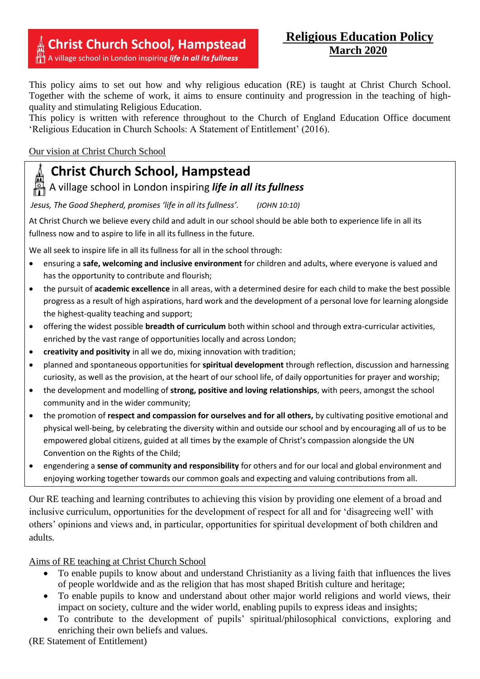## **Christ Church School, Hampstead**

A village school in London inspiring life in all its fullness

### **Religious Education Policy March 2020**

This policy aims to set out how and why religious education (RE) is taught at Christ Church School. Together with the scheme of work, it aims to ensure continuity and progression in the teaching of highquality and stimulating Religious Education.

This policy is written with reference throughout to the Church of England Education Office document 'Religious Education in Church Schools: A Statement of Entitlement' (2016).

# Our vision at Christ Church School

## **Christ Church School, Hampstead**

A village school in London inspiring *life in all its fullness*

*Jesus, The Good Shepherd, promises 'life in all its fullness'. (JOHN 10:10)*

At Christ Church we believe every child and adult in our school should be able both to experience life in all its fullness now and to aspire to life in all its fullness in the future.

We all seek to inspire life in all its fullness for all in the school through:

- ensuring a **safe, welcoming and inclusive environment** for children and adults, where everyone is valued and has the opportunity to contribute and flourish;
- the pursuit of **academic excellence** in all areas, with a determined desire for each child to make the best possible progress as a result of high aspirations, hard work and the development of a personal love for learning alongside the highest-quality teaching and support;
- offering the widest possible **breadth of curriculum** both within school and through extra-curricular activities, enriched by the vast range of opportunities locally and across London;
- **creativity and positivity** in all we do, mixing innovation with tradition;
- planned and spontaneous opportunities for **spiritual development** through reflection, discussion and harnessing curiosity, as well as the provision, at the heart of our school life, of daily opportunities for prayer and worship;
- the development and modelling of **strong, positive and loving relationships**, with peers, amongst the school community and in the wider community;
- the promotion of **respect and compassion for ourselves and for all others,** by cultivating positive emotional and physical well-being, by celebrating the diversity within and outside our school and by encouraging all of us to be empowered global citizens, guided at all times by the example of Christ's compassion alongside the UN Convention on the Rights of the Child;
- engendering a **sense of community and responsibility** for others and for our local and global environment and enjoying working together towards our common goals and expecting and valuing contributions from all.

Our RE teaching and learning contributes to achieving this vision by providing one element of a broad and inclusive curriculum, opportunities for the development of respect for all and for 'disagreeing well' with others' opinions and views and, in particular, opportunities for spiritual development of both children and adults.

Aims of RE teaching at Christ Church School

- To enable pupils to know about and understand Christianity as a living faith that influences the lives of people worldwide and as the religion that has most shaped British culture and heritage;
- To enable pupils to know and understand about other major world religions and world views, their impact on society, culture and the wider world, enabling pupils to express ideas and insights;
- To contribute to the development of pupils' spiritual/philosophical convictions, exploring and enriching their own beliefs and values.

(RE Statement of Entitlement)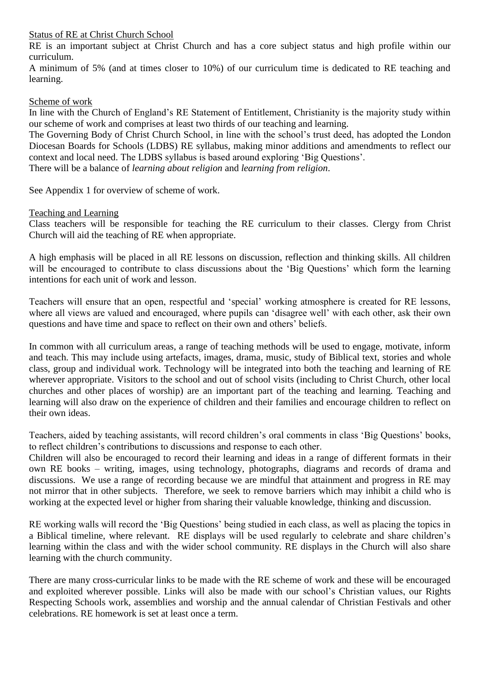#### Status of RE at Christ Church School

RE is an important subject at Christ Church and has a core subject status and high profile within our curriculum.

A minimum of 5% (and at times closer to 10%) of our curriculum time is dedicated to RE teaching and learning.

#### Scheme of work

In line with the Church of England's RE Statement of Entitlement, Christianity is the majority study within our scheme of work and comprises at least two thirds of our teaching and learning.

The Governing Body of Christ Church School, in line with the school's trust deed, has adopted the London Diocesan Boards for Schools (LDBS) RE syllabus, making minor additions and amendments to reflect our context and local need. The LDBS syllabus is based around exploring 'Big Questions'.

There will be a balance of *learning about religion* and *learning from religion*.

See Appendix 1 for overview of scheme of work.

#### Teaching and Learning

Class teachers will be responsible for teaching the RE curriculum to their classes. Clergy from Christ Church will aid the teaching of RE when appropriate.

A high emphasis will be placed in all RE lessons on discussion, reflection and thinking skills. All children will be encouraged to contribute to class discussions about the 'Big Questions' which form the learning intentions for each unit of work and lesson.

Teachers will ensure that an open, respectful and 'special' working atmosphere is created for RE lessons, where all views are valued and encouraged, where pupils can 'disagree well' with each other, ask their own questions and have time and space to reflect on their own and others' beliefs.

In common with all curriculum areas, a range of teaching methods will be used to engage, motivate, inform and teach. This may include using artefacts, images, drama, music, study of Biblical text, stories and whole class, group and individual work. Technology will be integrated into both the teaching and learning of RE wherever appropriate. Visitors to the school and out of school visits (including to Christ Church, other local churches and other places of worship) are an important part of the teaching and learning. Teaching and learning will also draw on the experience of children and their families and encourage children to reflect on their own ideas.

Teachers, aided by teaching assistants, will record children's oral comments in class 'Big Questions' books, to reflect children's contributions to discussions and response to each other.

Children will also be encouraged to record their learning and ideas in a range of different formats in their own RE books – writing, images, using technology, photographs, diagrams and records of drama and discussions. We use a range of recording because we are mindful that attainment and progress in RE may not mirror that in other subjects. Therefore, we seek to remove barriers which may inhibit a child who is working at the expected level or higher from sharing their valuable knowledge, thinking and discussion.

RE working walls will record the 'Big Questions' being studied in each class, as well as placing the topics in a Biblical timeline, where relevant. RE displays will be used regularly to celebrate and share children's learning within the class and with the wider school community. RE displays in the Church will also share learning with the church community.

There are many cross-curricular links to be made with the RE scheme of work and these will be encouraged and exploited wherever possible. Links will also be made with our school's Christian values, our Rights Respecting Schools work, assemblies and worship and the annual calendar of Christian Festivals and other celebrations. RE homework is set at least once a term.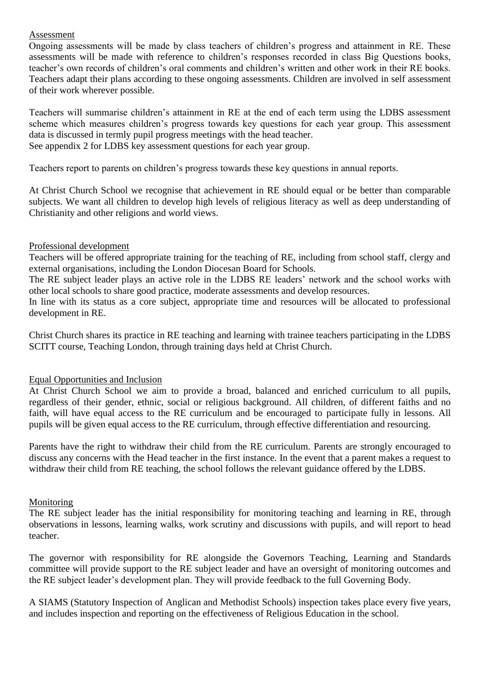#### Assessment

Ongoing assessments will be made by class teachers of children's progress and attainment in RE. These assessments will be made with reference to children's responses recorded in class Big Questions books, teacher's own records of children's oral comments and children's written and other work in their RE books. Teachers adapt their plans according to these ongoing assessments. Children are involved in self assessment of their work wherever possible.

Teachers will summarise children's attainment in RE at the end of each term using the LDBS assessment scheme which measures children's progress towards key questions for each year group. This assessment data is discussed in termly pupil progress meetings with the head teacher. See appendix 2 for LDBS key assessment questions for each year group.

Teachers report to parents on children's progress towards these key questions in annual reports.

At Christ Church School we recognise that achievement in RE should equal or be better than comparable subjects. We want all children to develop high levels of religious literacy as well as deep understanding of Christianity and other religions and world views.

#### Professional development

Teachers will be offered appropriate training for the teaching of RE, including from school staff, clergy and external organisations, including the London Diocesan Board for Schools.

The RE subject leader plays an active role in the LDBS RE leaders' network and the school works with other local schools to share good practice, moderate assessments and develop resources.

In line with its status as a core subject, appropriate time and resources will be allocated to professional development in RE.

Christ Church shares its practice in RE teaching and learning with trainee teachers participating in the LDBS SCITT course, Teaching London, through training days held at Christ Church.

#### Equal Opportunities and Inclusion

At Christ Church School we aim to provide a broad, balanced and enriched curriculum to all pupils, regardless of their gender, ethnic, social or religious background. All children, of different faiths and no faith, will have equal access to the RE curriculum and be encouraged to participate fully in lessons. All pupils will be given equal access to the RE curriculum, through effective differentiation and resourcing.

Parents have the right to withdraw their child from the RE curriculum. Parents are strongly encouraged to discuss any concerns with the Head teacher in the first instance. In the event that a parent makes a request to withdraw their child from RE teaching, the school follows the relevant guidance offered by the LDBS.

#### Monitoring

The RE subject leader has the initial responsibility for monitoring teaching and learning in RE, through observations in lessons, learning walks, work scrutiny and discussions with pupils, and will report to head teacher.

The governor with responsibility for RE alongside the Governors Teaching, Learning and Standards committee will provide support to the RE subject leader and have an oversight of monitoring outcomes and the RE subject leader's development plan. They will provide feedback to the full Governing Body.

A SIAMS (Statutory Inspection of Anglican and Methodist Schools) inspection takes place every five years, and includes inspection and reporting on the effectiveness of Religious Education in the school.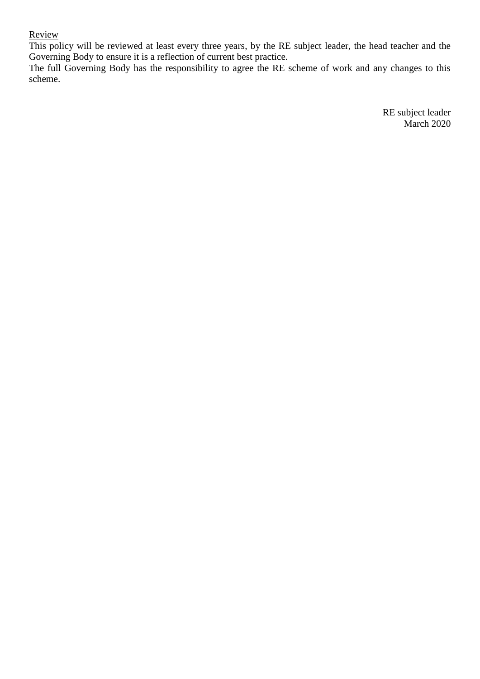#### Review

This policy will be reviewed at least every three years, by the RE subject leader, the head teacher and the Governing Body to ensure it is a reflection of current best practice.

The full Governing Body has the responsibility to agree the RE scheme of work and any changes to this scheme.

> RE subject leader March 2020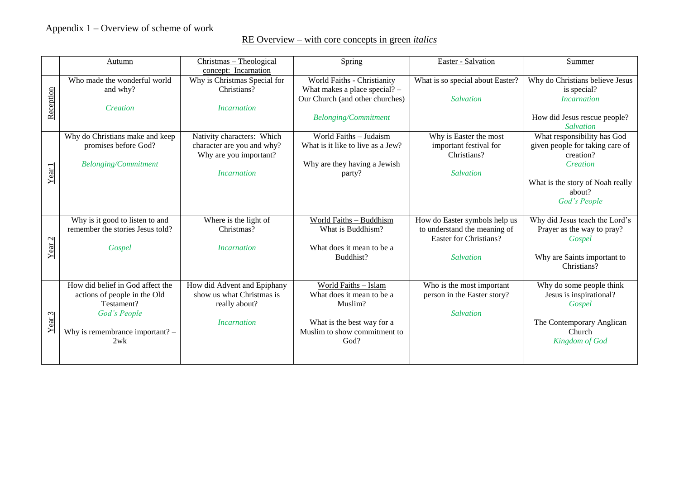## RE Overview – with core concepts in green *italics*

|                   | <b>Autumn</b>                                                                                                                              | Christmas - Theological<br>concept: Incarnation                                                                        | Spring                                                                                                                             | Easter - Salvation                                                                                          | Summer                                                                                                                                                             |
|-------------------|--------------------------------------------------------------------------------------------------------------------------------------------|------------------------------------------------------------------------------------------------------------------------|------------------------------------------------------------------------------------------------------------------------------------|-------------------------------------------------------------------------------------------------------------|--------------------------------------------------------------------------------------------------------------------------------------------------------------------|
| Reception         | Who made the wonderful world<br>and why?<br>Creation                                                                                       | Why is Christmas Special for<br>Christians?<br><i><u><b>Incarnation</b></u></i>                                        | World Faiths - Christianity<br>What makes a place special? $-$<br>Our Church (and other churches)<br><b>Belonging/Commitment</b>   | What is so special about Easter?<br>Salvation                                                               | Why do Christians believe Jesus<br>is special?<br><b>Incarnation</b><br>How did Jesus rescue people?                                                               |
| Year1             | Why do Christians make and keep<br>promises before God?<br><b>Belonging/Commitment</b>                                                     | Nativity characters: Which<br>character are you and why?<br>Why are you important?<br><i><u><b>Incarnation</b></u></i> | World Faiths - Judaism<br>What is it like to live as a Jew?<br>Why are they having a Jewish<br>party?                              | Why is Easter the most<br>important festival for<br>Christians?<br><b>Salvation</b>                         | Salvation<br>What responsibility has God<br>given people for taking care of<br>creation?<br>Creation<br>What is the story of Noah really<br>about?<br>God's People |
| Year <sub>2</sub> | Why is it good to listen to and<br>remember the stories Jesus told?<br>Gospel                                                              | Where is the light of<br>Christmas?<br><i><u><b>Incarnation</b></u></i>                                                | World Faiths - Buddhism<br>What is Buddhism?<br>What does it mean to be a<br>Buddhist?                                             | How do Easter symbols help us<br>to understand the meaning of<br>Easter for Christians?<br><b>Salvation</b> | Why did Jesus teach the Lord's<br>Prayer as the way to pray?<br>Gospel<br>Why are Saints important to<br>Christians?                                               |
| Year <sub>3</sub> | How did belief in God affect the<br>actions of people in the Old<br>Testament?<br>God's People<br>Why is remembrance important? $-$<br>2wk | How did Advent and Epiphany<br>show us what Christmas is<br>really about?<br><i><u><b>Incarnation</b></u></i>          | World Faiths - Islam<br>What does it mean to be a<br>Muslim?<br>What is the best way for a<br>Muslim to show commitment to<br>God? | Who is the most important<br>person in the Easter story?<br>Salvation                                       | Why do some people think<br>Jesus is inspirational?<br>Gospel<br>The Contemporary Anglican<br>Church<br>Kingdom of God                                             |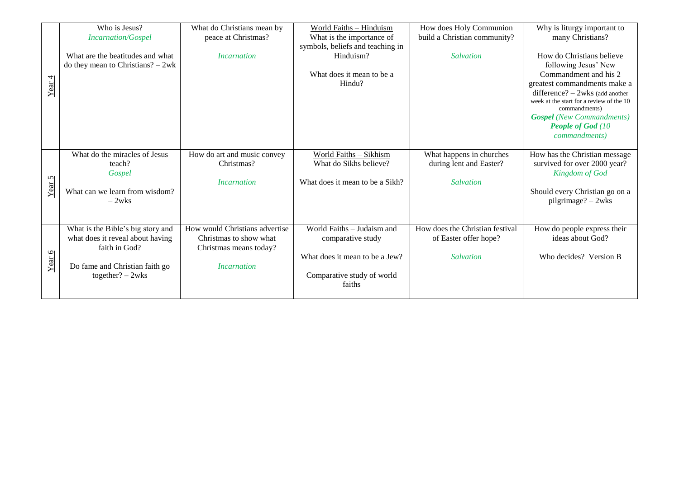|        | Who is Jesus?<br><b>Incarnation/Gospel</b>                                                                                                    | What do Christians mean by<br>peace at Christmas?                                                                      | World Faiths - Hinduism                                                                                                   | How does Holy Communion<br>build a Christian community?               | Why is liturgy important to<br>many Christians?                                                                                                                                                                                                                                                        |
|--------|-----------------------------------------------------------------------------------------------------------------------------------------------|------------------------------------------------------------------------------------------------------------------------|---------------------------------------------------------------------------------------------------------------------------|-----------------------------------------------------------------------|--------------------------------------------------------------------------------------------------------------------------------------------------------------------------------------------------------------------------------------------------------------------------------------------------------|
|        |                                                                                                                                               |                                                                                                                        | What is the importance of<br>symbols, beliefs and teaching in                                                             |                                                                       |                                                                                                                                                                                                                                                                                                        |
| Year 4 | What are the beatitudes and what<br>do they mean to Christians? $-2wk$                                                                        | <i><u><b>Incarnation</b></u></i>                                                                                       | Hinduism?<br>What does it mean to be a<br>Hindu?                                                                          | <b>Salvation</b>                                                      | How do Christians believe<br>following Jesus' New<br>Commandment and his 2<br>greatest commandments make a<br>difference? $-$ 2wks (add another<br>week at the start for a review of the 10<br>commandments)<br><b>Gospel</b> (New Commandments)<br><b>People of God</b> (10)<br><i>commandments</i> ) |
| Year 5 | What do the miracles of Jesus<br>teach?<br>Gospel<br>What can we learn from wisdom?<br>$-2w$ ks                                               | How do art and music convey<br>Christmas?<br><i>Incarnation</i>                                                        | World Faiths - Sikhism<br>What do Sikhs believe?<br>What does it mean to be a Sikh?                                       | What happens in churches<br>during lent and Easter?<br>Salvation      | How has the Christian message<br>survived for over 2000 year?<br>Kingdom of God<br>Should every Christian go on a<br>$pilgrimage? - 2wks$                                                                                                                                                              |
| Year 6 | What is the Bible's big story and<br>what does it reveal about having<br>faith in God?<br>Do fame and Christian faith go<br>together? $-2wks$ | How would Christians advertise<br>Christmas to show what<br>Christmas means today?<br><i><u><b>Incarnation</b></u></i> | World Faiths - Judaism and<br>comparative study<br>What does it mean to be a Jew?<br>Comparative study of world<br>faiths | How does the Christian festival<br>of Easter offer hope?<br>Salvation | How do people express their<br>ideas about God?<br>Who decides? Version B                                                                                                                                                                                                                              |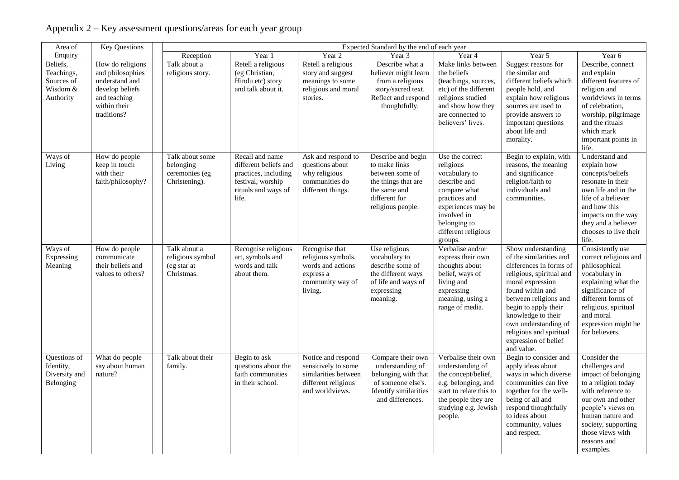| Area of                                                       | <b>Key Questions</b>                                                                                                     | Expected Standard by the end of each year                       |                                                                                                                       |                                                                                                             |                                                                                                                                     |                                                                                                                                                                                       |                                                                                                                                                                                                                                                                                                              |                                                                                                                                                                                                                                        |
|---------------------------------------------------------------|--------------------------------------------------------------------------------------------------------------------------|-----------------------------------------------------------------|-----------------------------------------------------------------------------------------------------------------------|-------------------------------------------------------------------------------------------------------------|-------------------------------------------------------------------------------------------------------------------------------------|---------------------------------------------------------------------------------------------------------------------------------------------------------------------------------------|--------------------------------------------------------------------------------------------------------------------------------------------------------------------------------------------------------------------------------------------------------------------------------------------------------------|----------------------------------------------------------------------------------------------------------------------------------------------------------------------------------------------------------------------------------------|
| Enquiry                                                       |                                                                                                                          | Reception                                                       | Year 1                                                                                                                | Year <sub>2</sub>                                                                                           | Year 3                                                                                                                              | Year 4                                                                                                                                                                                | Year 5                                                                                                                                                                                                                                                                                                       | Year 6                                                                                                                                                                                                                                 |
| Beliefs,<br>Teachings,<br>Sources of<br>Wisdom &<br>Authority | How do religions<br>and philosophies<br>understand and<br>develop beliefs<br>and teaching<br>within their<br>traditions? | Talk about a<br>religious story.                                | Retell a religious<br>(eg Christian,<br>Hindu etc) story<br>and talk about it.                                        | Retell a religious<br>story and suggest<br>meanings to some<br>religious and moral<br>stories.              | Describe what a<br>believer might learn<br>from a religious<br>story/sacred text.<br>Reflect and respond<br>thoughtfully.           | Make links between<br>the beliefs<br>(teachings, sources,<br>etc) of the different<br>religions studied<br>and show how they<br>are connected to<br>believers' lives.                 | Suggest reasons for<br>the similar and<br>different beliefs which<br>people hold, and<br>explain how religious<br>sources are used to<br>provide answers to<br>important questions<br>about life and<br>morality.                                                                                            | Describe, connect<br>and explain<br>different features of<br>religion and<br>worldviews in terms<br>of celebration,<br>worship, pilgrimage<br>and the rituals<br>which mark<br>important points in<br>life.                            |
| Ways of<br>Living                                             | How do people<br>keep in touch<br>with their<br>faith/philosophy?                                                        | Talk about some<br>belonging<br>ceremonies (eg<br>Christening). | Recall and name<br>different beliefs and<br>practices, including<br>festival, worship<br>rituals and ways of<br>life. | Ask and respond to<br>questions about<br>why religious<br>communities do<br>different things.               | Describe and begin<br>to make links<br>between some of<br>the things that are<br>the same and<br>different for<br>religious people. | Use the correct<br>religious<br>vocabulary to<br>describe and<br>compare what<br>practices and<br>experiences may be<br>involved in<br>belonging to<br>different religious<br>groups. | Begin to explain, with<br>reasons, the meaning<br>and significance<br>religion/faith to<br>individuals and<br>communities.                                                                                                                                                                                   | Understand and<br>explain how<br>concepts/beliefs<br>resonate in their<br>own life and in the<br>life of a believer<br>and how this<br>impacts on the way<br>they and a believer<br>chooses to live their<br>life.                     |
| Ways of<br>Expressing<br>Meaning                              | How do people<br>communicate<br>their beliefs and<br>values to others?                                                   | Talk about a<br>religious symbol<br>(eg star at<br>Christmas.   | Recognise religious<br>art, symbols and<br>words and talk<br>about them.                                              | Recognise that<br>religious symbols,<br>words and actions<br>express a<br>community way of<br>living.       | Use religious<br>vocabulary to<br>describe some of<br>the different ways<br>of life and ways of<br>expressing<br>meaning.           | Verbalise and/or<br>express their own<br>thoughts about<br>belief, ways of<br>living and<br>expressing<br>meaning, using a<br>range of media.                                         | Show understanding<br>of the similarities and<br>differences in forms of<br>religious, spiritual and<br>moral expression<br>found within and<br>between religions and<br>begin to apply their<br>knowledge to their<br>own understanding of<br>religious and spiritual<br>expression of belief<br>and value. | Consistently use<br>correct religious and<br>philosophical<br>vocabulary in<br>explaining what the<br>significance of<br>different forms of<br>religious, spiritual<br>and moral<br>expression might be<br>for believers.              |
| Questions of<br>Identity,<br>Diversity and<br>Belonging       | What do people<br>say about human<br>nature?                                                                             | Talk about their<br>family.                                     | Begin to ask<br>questions about the<br>faith communities<br>in their school.                                          | Notice and respond<br>sensitively to some<br>similarities between<br>different religious<br>and worldviews. | Compare their own<br>understanding of<br>belonging with that<br>of someone else's.<br>Identify similarities<br>and differences.     | Verbalise their own<br>understanding of<br>the concept/belief,<br>e.g. belonging, and<br>start to relate this to<br>the people they are<br>studying e.g. Jewish<br>people.            | Begin to consider and<br>apply ideas about<br>ways in which diverse<br>communities can live<br>together for the well-<br>being of all and<br>respond thoughtfully<br>to ideas about<br>community, values<br>and respect.                                                                                     | Consider the<br>challenges and<br>impact of belonging<br>to a religion today<br>with reference to<br>our own and other<br>people's views on<br>human nature and<br>society, supporting<br>those views with<br>reasons and<br>examples. |

### Appendix 2 – Key assessment questions/areas for each year group